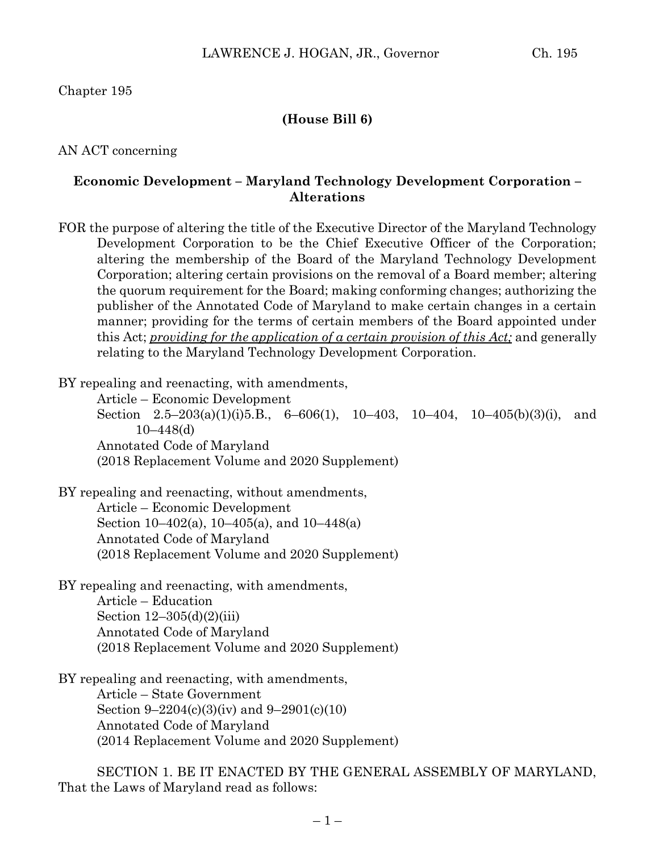Chapter 195

### **(House Bill 6)**

AN ACT concerning

#### **Economic Development – Maryland Technology Development Corporation – Alterations**

FOR the purpose of altering the title of the Executive Director of the Maryland Technology Development Corporation to be the Chief Executive Officer of the Corporation; altering the membership of the Board of the Maryland Technology Development Corporation; altering certain provisions on the removal of a Board member; altering the quorum requirement for the Board; making conforming changes; authorizing the publisher of the Annotated Code of Maryland to make certain changes in a certain manner; providing for the terms of certain members of the Board appointed under this Act; *providing for the application of a certain provision of this Act;* and generally relating to the Maryland Technology Development Corporation.

BY repealing and reenacting, with amendments,

Article – Economic Development Section  $2.5-203(a)(1)(i)5.B., 6-606(1), 10-403, 10-404, 10-405(b)(3)(i), and$ 10–448(d) Annotated Code of Maryland (2018 Replacement Volume and 2020 Supplement)

BY repealing and reenacting, without amendments, Article – Economic Development Section 10–402(a), 10–405(a), and 10–448(a) Annotated Code of Maryland (2018 Replacement Volume and 2020 Supplement)

BY repealing and reenacting, with amendments, Article – Education Section  $12-305(d)(2)(iii)$ Annotated Code of Maryland (2018 Replacement Volume and 2020 Supplement)

BY repealing and reenacting, with amendments, Article – State Government Section 9–2204(c)(3)(iv) and 9–2901(c)(10) Annotated Code of Maryland (2014 Replacement Volume and 2020 Supplement)

SECTION 1. BE IT ENACTED BY THE GENERAL ASSEMBLY OF MARYLAND, That the Laws of Maryland read as follows: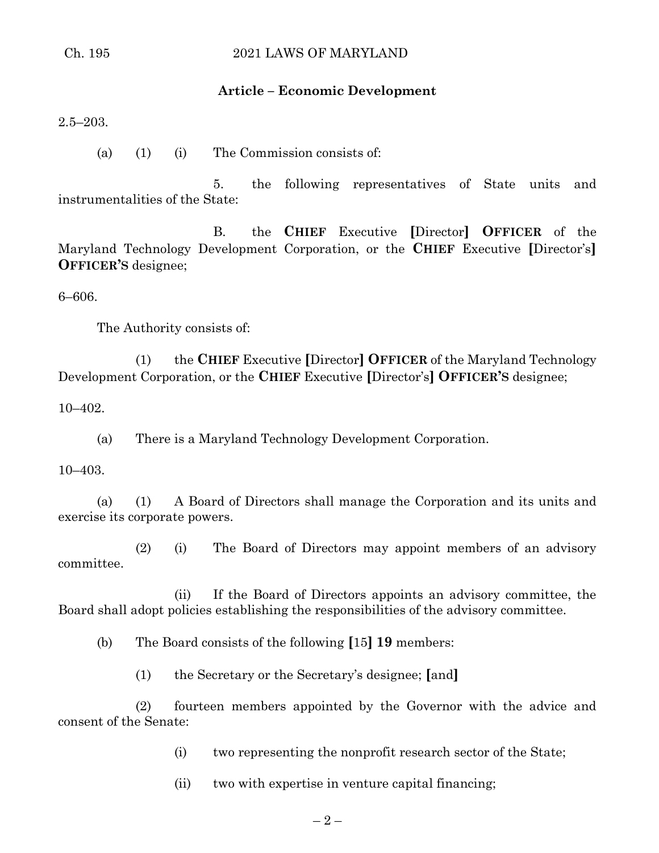# **Article – Economic Development**

2.5–203.

(a) (1) (i) The Commission consists of:

5. the following representatives of State units and instrumentalities of the State:

B. the **CHIEF** Executive **[**Director**] OFFICER** of the Maryland Technology Development Corporation, or the **CHIEF** Executive **[**Director's**] OFFICER'S** designee;

6–606.

The Authority consists of:

(1) the **CHIEF** Executive **[**Director**] OFFICER** of the Maryland Technology Development Corporation, or the **CHIEF** Executive **[**Director's**] OFFICER'S** designee;

10–402.

(a) There is a Maryland Technology Development Corporation.

10–403.

(a) (1) A Board of Directors shall manage the Corporation and its units and exercise its corporate powers.

(2) (i) The Board of Directors may appoint members of an advisory committee.

(ii) If the Board of Directors appoints an advisory committee, the Board shall adopt policies establishing the responsibilities of the advisory committee.

(b) The Board consists of the following **[**15**] 19** members:

(1) the Secretary or the Secretary's designee; **[**and**]**

(2) fourteen members appointed by the Governor with the advice and consent of the Senate:

(i) two representing the nonprofit research sector of the State;

(ii) two with expertise in venture capital financing;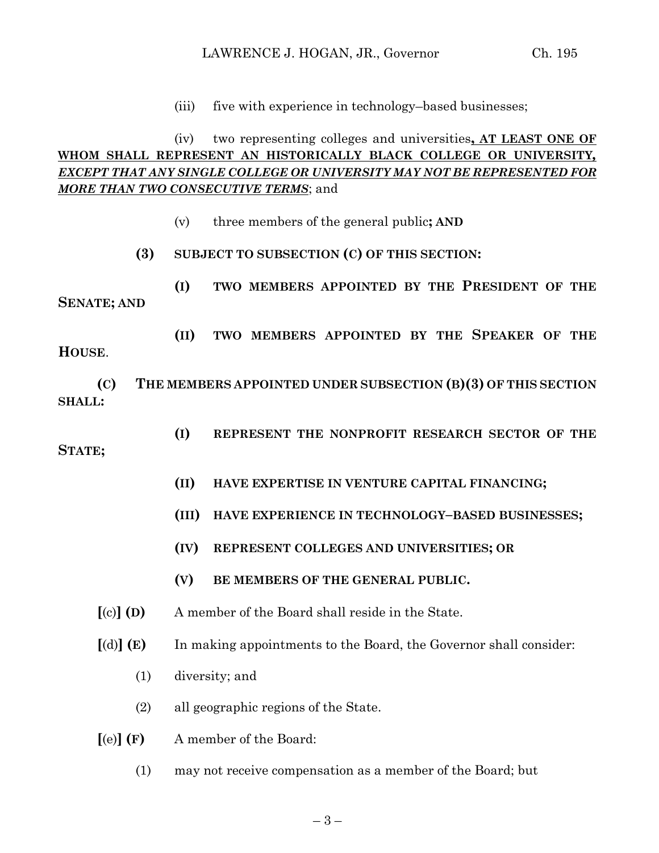(iii) five with experience in technology–based businesses;

# (iv) two representing colleges and universities**, AT LEAST ONE OF WHOM SHALL REPRESENT AN HISTORICALLY BLACK COLLEGE OR UNIVERSITY***, EXCEPT THAT ANY SINGLE COLLEGE OR UNIVERSITY MAY NOT BE REPRESENTED FOR MORE THAN TWO CONSECUTIVE TERMS*; and

- (v) three members of the general public**; AND**
- **(3) SUBJECT TO SUBSECTION (C) OF THIS SECTION:**

**(I) TWO MEMBERS APPOINTED BY THE PRESIDENT OF THE SENATE; AND**

**(II) TWO MEMBERS APPOINTED BY THE SPEAKER OF THE** 

**(C) THE MEMBERS APPOINTED UNDER SUBSECTION (B)(3) OF THIS SECTION SHALL:**

**(I) REPRESENT THE NONPROFIT RESEARCH SECTOR OF THE** 

#### **STATE;**

**HOUSE**.

- **(II) HAVE EXPERTISE IN VENTURE CAPITAL FINANCING;**
- **(III) HAVE EXPERIENCE IN TECHNOLOGY–BASED BUSINESSES;**
- **(IV) REPRESENT COLLEGES AND UNIVERSITIES; OR**
- **(V) BE MEMBERS OF THE GENERAL PUBLIC.**
- **[**(c)**] (D)** A member of the Board shall reside in the State.
- **[**(d)**] (E)** In making appointments to the Board, the Governor shall consider:
	- (1) diversity; and
	- (2) all geographic regions of the State.
- **[**(e)**] (F)** A member of the Board:
	- (1) may not receive compensation as a member of the Board; but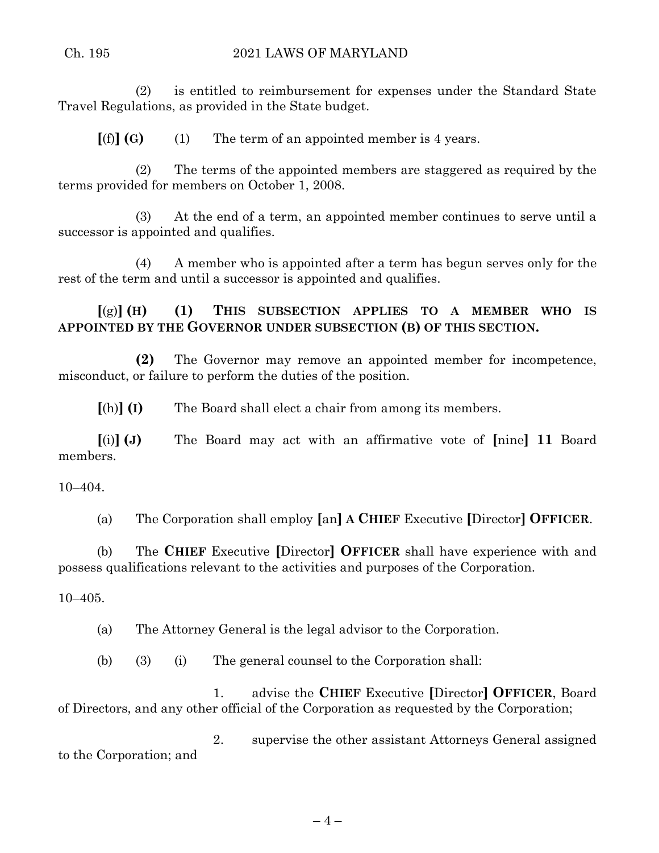(2) is entitled to reimbursement for expenses under the Standard State Travel Regulations, as provided in the State budget.

 $[(f)]$  **(G)** (1) The term of an appointed member is 4 years.

(2) The terms of the appointed members are staggered as required by the terms provided for members on October 1, 2008.

(3) At the end of a term, an appointed member continues to serve until a successor is appointed and qualifies.

(4) A member who is appointed after a term has begun serves only for the rest of the term and until a successor is appointed and qualifies.

**[**(g)**] (H) (1) THIS SUBSECTION APPLIES TO A MEMBER WHO IS APPOINTED BY THE GOVERNOR UNDER SUBSECTION (B) OF THIS SECTION.**

**(2)** The Governor may remove an appointed member for incompetence, misconduct, or failure to perform the duties of the position.

**[**(h)**] (I)** The Board shall elect a chair from among its members.

**[**(i)**] (J)** The Board may act with an affirmative vote of **[**nine**] 11** Board members.

10–404.

(a) The Corporation shall employ **[**an**] A CHIEF** Executive **[**Director**] OFFICER**.

(b) The **CHIEF** Executive **[**Director**] OFFICER** shall have experience with and possess qualifications relevant to the activities and purposes of the Corporation.

10–405.

(a) The Attorney General is the legal advisor to the Corporation.

(b) (3) (i) The general counsel to the Corporation shall:

1. advise the **CHIEF** Executive **[**Director**] OFFICER**, Board of Directors, and any other official of the Corporation as requested by the Corporation;

2. supervise the other assistant Attorneys General assigned to the Corporation; and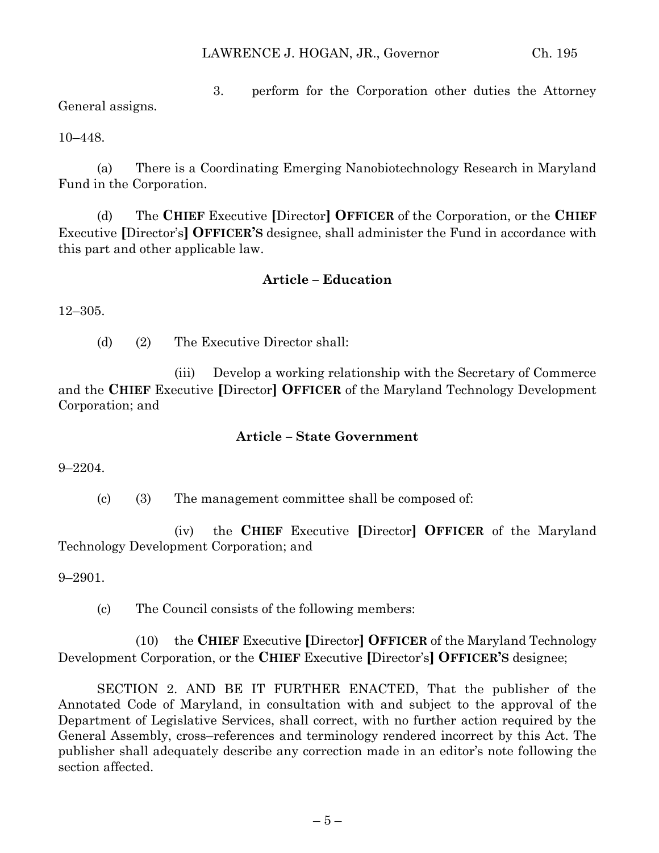3. perform for the Corporation other duties the Attorney General assigns.

10–448.

(a) There is a Coordinating Emerging Nanobiotechnology Research in Maryland Fund in the Corporation.

(d) The **CHIEF** Executive **[**Director**] OFFICER** of the Corporation, or the **CHIEF** Executive **[**Director's**] OFFICER'S** designee, shall administer the Fund in accordance with this part and other applicable law.

# **Article – Education**

12–305.

(d) (2) The Executive Director shall:

(iii) Develop a working relationship with the Secretary of Commerce and the **CHIEF** Executive **[**Director**] OFFICER** of the Maryland Technology Development Corporation; and

#### **Article – State Government**

9–2204.

(c) (3) The management committee shall be composed of:

(iv) the **CHIEF** Executive **[**Director**] OFFICER** of the Maryland Technology Development Corporation; and

9–2901.

(c) The Council consists of the following members:

(10) the **CHIEF** Executive **[**Director**] OFFICER** of the Maryland Technology Development Corporation, or the **CHIEF** Executive **[**Director's**] OFFICER'S** designee;

SECTION 2. AND BE IT FURTHER ENACTED, That the publisher of the Annotated Code of Maryland, in consultation with and subject to the approval of the Department of Legislative Services, shall correct, with no further action required by the General Assembly, cross–references and terminology rendered incorrect by this Act. The publisher shall adequately describe any correction made in an editor's note following the section affected.